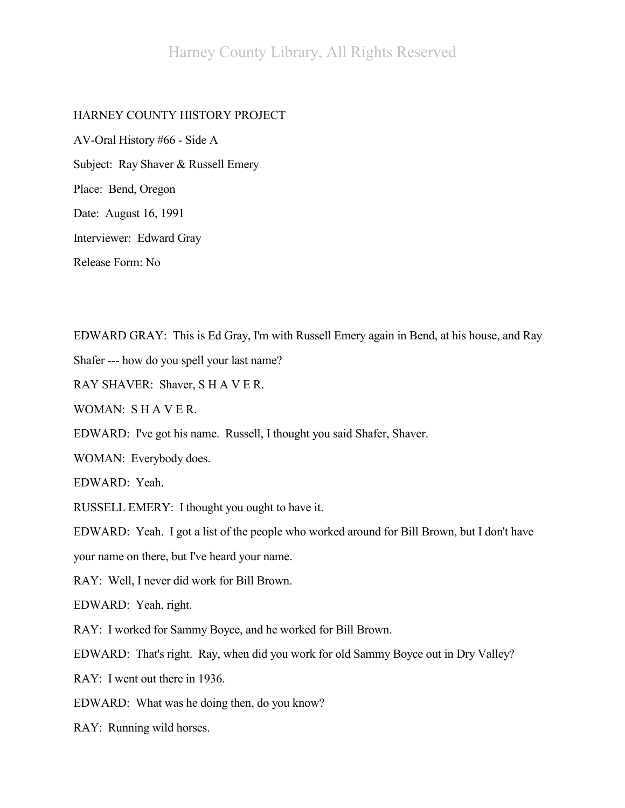## Harney County Library, All Rights Reserved

## HARNEY COUNTY HISTORY PROJECT

AV-Oral History #66 - Side A Subject: Ray Shaver & Russell Emery Place: Bend, Oregon Date: August 16, 1991 Interviewer: Edward Gray Release Form: No

EDWARD GRAY: This is Ed Gray, I'm with Russell Emery again in Bend, at his house, and Ray

Shafer --- how do you spell your last name?

RAY SHAVER: Shaver, S H A V E R.

WOMAN: S H A V E R.

EDWARD: I've got his name. Russell, I thought you said Shafer, Shaver.

WOMAN: Everybody does.

EDWARD: Yeah.

RUSSELL EMERY: I thought you ought to have it.

EDWARD: Yeah. I got a list of the people who worked around for Bill Brown, but I don't have

your name on there, but I've heard your name.

RAY: Well, I never did work for Bill Brown.

EDWARD: Yeah, right.

RAY: I worked for Sammy Boyce, and he worked for Bill Brown.

EDWARD: That's right. Ray, when did you work for old Sammy Boyce out in Dry Valley?

RAY: I went out there in 1936.

EDWARD: What was he doing then, do you know?

RAY: Running wild horses.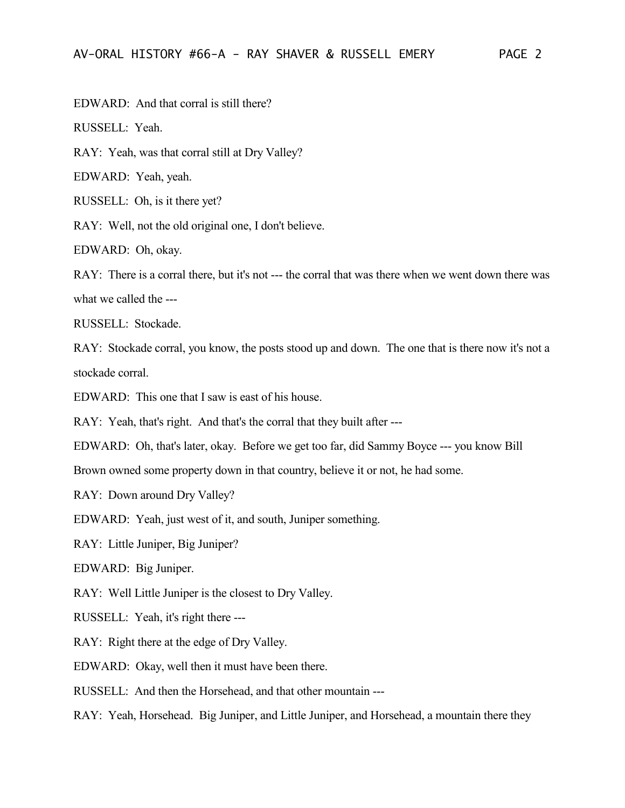EDWARD: And that corral is still there?

RUSSELL: Yeah.

RAY: Yeah, was that corral still at Dry Valley?

EDWARD: Yeah, yeah.

RUSSELL: Oh, is it there yet?

RAY: Well, not the old original one, I don't believe.

EDWARD: Oh, okay.

RAY: There is a corral there, but it's not --- the corral that was there when we went down there was what we called the ---

RUSSELL: Stockade.

RAY: Stockade corral, you know, the posts stood up and down. The one that is there now it's not a stockade corral.

EDWARD: This one that I saw is east of his house.

RAY: Yeah, that's right. And that's the corral that they built after ---

EDWARD: Oh, that's later, okay. Before we get too far, did Sammy Boyce --- you know Bill

Brown owned some property down in that country, believe it or not, he had some.

RAY: Down around Dry Valley?

EDWARD: Yeah, just west of it, and south, Juniper something.

RAY: Little Juniper, Big Juniper?

EDWARD: Big Juniper.

RAY: Well Little Juniper is the closest to Dry Valley.

RUSSELL: Yeah, it's right there ---

RAY: Right there at the edge of Dry Valley.

EDWARD: Okay, well then it must have been there.

RUSSELL: And then the Horsehead, and that other mountain ---

RAY: Yeah, Horsehead. Big Juniper, and Little Juniper, and Horsehead, a mountain there they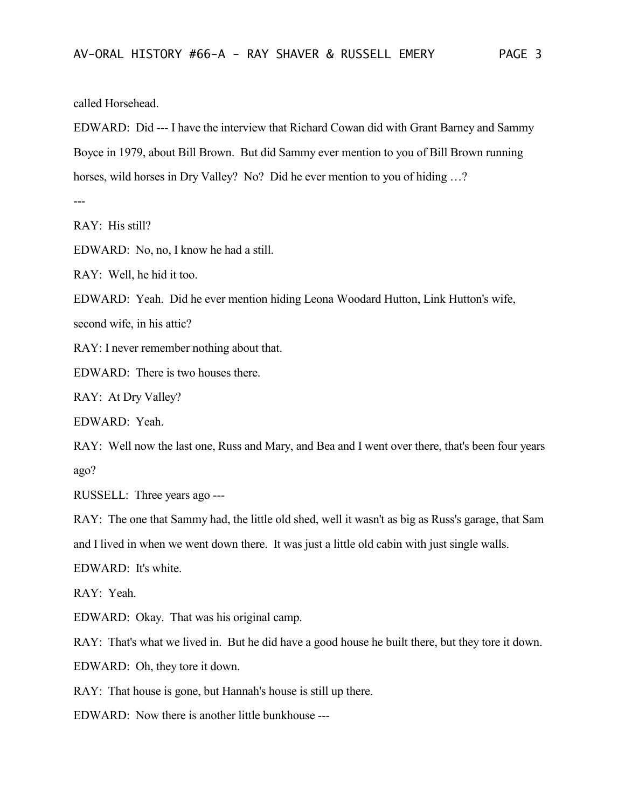called Horsehead.

EDWARD: Did --- I have the interview that Richard Cowan did with Grant Barney and Sammy Boyce in 1979, about Bill Brown. But did Sammy ever mention to you of Bill Brown running horses, wild horses in Dry Valley? No? Did he ever mention to you of hiding ...?

---

RAY: His still?

EDWARD: No, no, I know he had a still.

RAY: Well, he hid it too.

EDWARD: Yeah. Did he ever mention hiding Leona Woodard Hutton, Link Hutton's wife,

second wife, in his attic?

RAY: I never remember nothing about that.

EDWARD: There is two houses there.

RAY: At Dry Valley?

EDWARD: Yeah.

RAY: Well now the last one, Russ and Mary, and Bea and I went over there, that's been four years ago?

RUSSELL: Three years ago ---

RAY: The one that Sammy had, the little old shed, well it wasn't as big as Russ's garage, that Sam and I lived in when we went down there. It was just a little old cabin with just single walls.

EDWARD: It's white.

RAY: Yeah.

EDWARD: Okay. That was his original camp.

RAY: That's what we lived in. But he did have a good house he built there, but they tore it down.

EDWARD: Oh, they tore it down.

RAY: That house is gone, but Hannah's house is still up there.

EDWARD: Now there is another little bunkhouse ---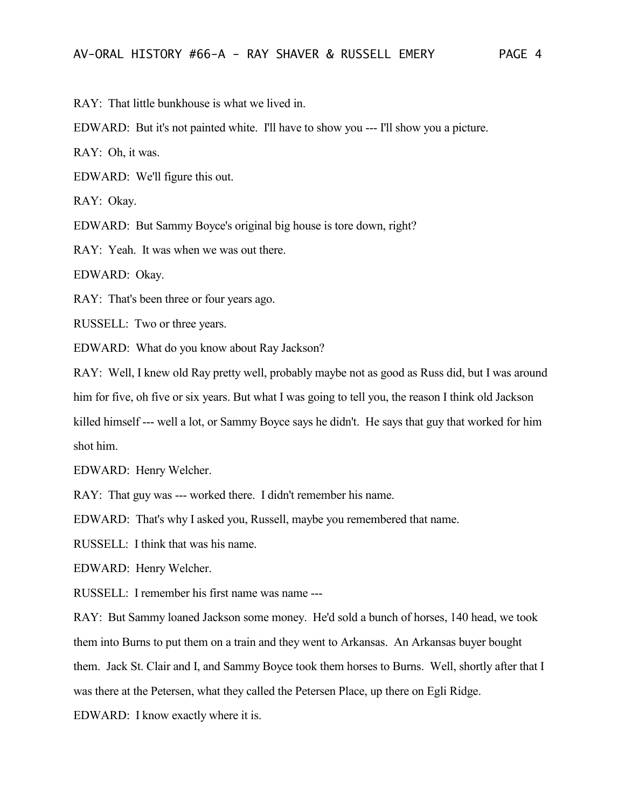RAY: That little bunkhouse is what we lived in.

EDWARD: But it's not painted white. I'll have to show you --- I'll show you a picture.

RAY: Oh, it was.

EDWARD: We'll figure this out.

RAY: Okay.

EDWARD: But Sammy Boyce's original big house is tore down, right?

RAY: Yeah. It was when we was out there.

EDWARD: Okay.

RAY: That's been three or four years ago.

RUSSELL: Two or three years.

EDWARD: What do you know about Ray Jackson?

RAY: Well, I knew old Ray pretty well, probably maybe not as good as Russ did, but I was around him for five, oh five or six years. But what I was going to tell you, the reason I think old Jackson killed himself --- well a lot, or Sammy Boyce says he didn't. He says that guy that worked for him shot him.

EDWARD: Henry Welcher.

RAY: That guy was --- worked there. I didn't remember his name.

EDWARD: That's why I asked you, Russell, maybe you remembered that name.

RUSSELL: I think that was his name.

EDWARD: Henry Welcher.

RUSSELL: I remember his first name was name ---

RAY: But Sammy loaned Jackson some money. He'd sold a bunch of horses, 140 head, we took them into Burns to put them on a train and they went to Arkansas. An Arkansas buyer bought

them. Jack St. Clair and I, and Sammy Boyce took them horses to Burns. Well, shortly after that I

was there at the Petersen, what they called the Petersen Place, up there on Egli Ridge.

EDWARD: I know exactly where it is.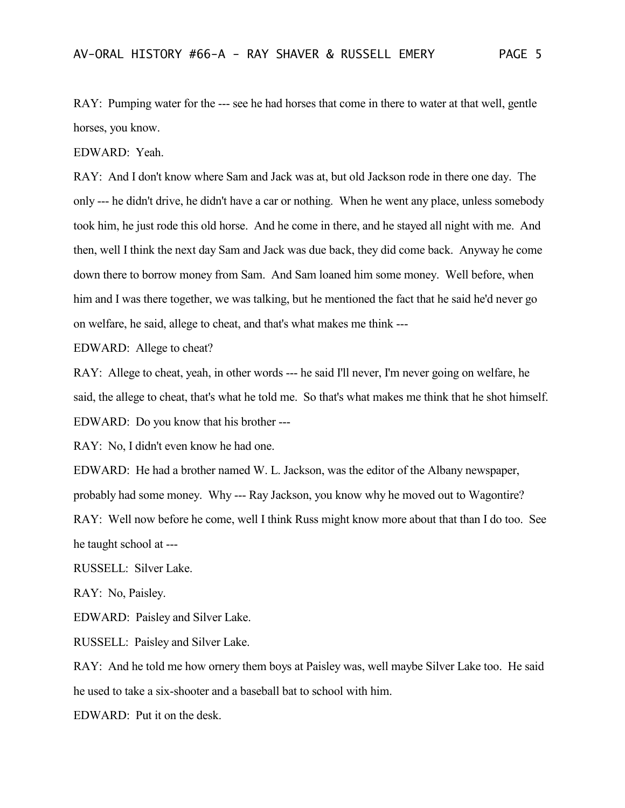RAY: Pumping water for the --- see he had horses that come in there to water at that well, gentle horses, you know.

EDWARD: Yeah.

RAY: And I don't know where Sam and Jack was at, but old Jackson rode in there one day. The only --- he didn't drive, he didn't have a car or nothing. When he went any place, unless somebody took him, he just rode this old horse. And he come in there, and he stayed all night with me. And then, well I think the next day Sam and Jack was due back, they did come back. Anyway he come down there to borrow money from Sam. And Sam loaned him some money. Well before, when him and I was there together, we was talking, but he mentioned the fact that he said he'd never go on welfare, he said, allege to cheat, and that's what makes me think ---

EDWARD: Allege to cheat?

RAY: Allege to cheat, yeah, in other words --- he said I'll never, I'm never going on welfare, he said, the allege to cheat, that's what he told me. So that's what makes me think that he shot himself. EDWARD: Do you know that his brother ---

RAY: No, I didn't even know he had one.

EDWARD: He had a brother named W. L. Jackson, was the editor of the Albany newspaper, probably had some money. Why --- Ray Jackson, you know why he moved out to Wagontire? RAY: Well now before he come, well I think Russ might know more about that than I do too. See he taught school at ---

RUSSELL: Silver Lake.

RAY: No, Paisley.

EDWARD: Paisley and Silver Lake.

RUSSELL: Paisley and Silver Lake.

RAY: And he told me how ornery them boys at Paisley was, well maybe Silver Lake too. He said he used to take a six-shooter and a baseball bat to school with him.

EDWARD: Put it on the desk.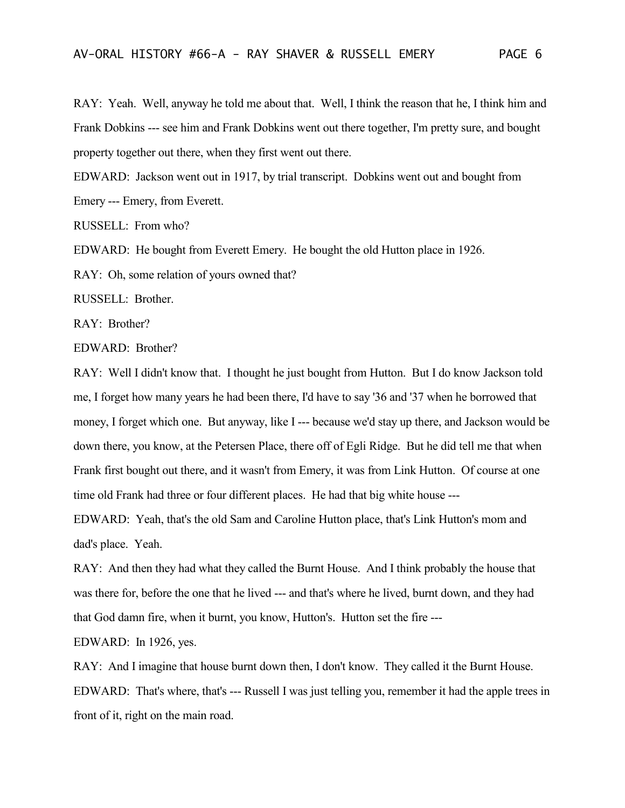RAY: Yeah. Well, anyway he told me about that. Well, I think the reason that he, I think him and Frank Dobkins --- see him and Frank Dobkins went out there together, I'm pretty sure, and bought property together out there, when they first went out there.

EDWARD: Jackson went out in 1917, by trial transcript. Dobkins went out and bought from Emery --- Emery, from Everett.

RUSSELL: From who?

EDWARD: He bought from Everett Emery. He bought the old Hutton place in 1926.

RAY: Oh, some relation of yours owned that?

RUSSELL: Brother.

RAY: Brother?

EDWARD: Brother?

RAY: Well I didn't know that. I thought he just bought from Hutton. But I do know Jackson told me, I forget how many years he had been there, I'd have to say '36 and '37 when he borrowed that money, I forget which one. But anyway, like I --- because we'd stay up there, and Jackson would be down there, you know, at the Petersen Place, there off of Egli Ridge. But he did tell me that when Frank first bought out there, and it wasn't from Emery, it was from Link Hutton. Of course at one time old Frank had three or four different places. He had that big white house ---

EDWARD: Yeah, that's the old Sam and Caroline Hutton place, that's Link Hutton's mom and dad's place. Yeah.

RAY: And then they had what they called the Burnt House. And I think probably the house that was there for, before the one that he lived --- and that's where he lived, burnt down, and they had that God damn fire, when it burnt, you know, Hutton's. Hutton set the fire ---

EDWARD: In 1926, yes.

RAY: And I imagine that house burnt down then, I don't know. They called it the Burnt House. EDWARD: That's where, that's --- Russell I was just telling you, remember it had the apple trees in front of it, right on the main road.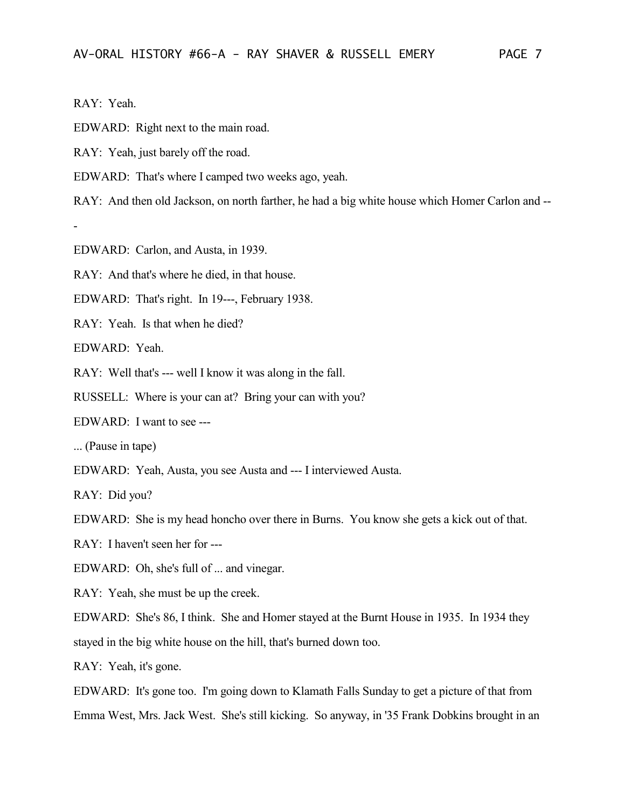RAY: Yeah.

-

EDWARD: Right next to the main road.

RAY: Yeah, just barely off the road.

EDWARD: That's where I camped two weeks ago, yeah.

RAY: And then old Jackson, on north farther, he had a big white house which Homer Carlon and --

EDWARD: Carlon, and Austa, in 1939.

RAY: And that's where he died, in that house.

EDWARD: That's right. In 19---, February 1938.

RAY: Yeah. Is that when he died?

EDWARD: Yeah.

RAY: Well that's --- well I know it was along in the fall.

RUSSELL: Where is your can at? Bring your can with you?

EDWARD: I want to see ---

... (Pause in tape)

EDWARD: Yeah, Austa, you see Austa and --- I interviewed Austa.

RAY: Did you?

EDWARD: She is my head honcho over there in Burns. You know she gets a kick out of that.

RAY: I haven't seen her for ---

EDWARD: Oh, she's full of ... and vinegar.

RAY: Yeah, she must be up the creek.

EDWARD: She's 86, I think. She and Homer stayed at the Burnt House in 1935. In 1934 they stayed in the big white house on the hill, that's burned down too.

RAY: Yeah, it's gone.

EDWARD: It's gone too. I'm going down to Klamath Falls Sunday to get a picture of that from Emma West, Mrs. Jack West. She's still kicking. So anyway, in '35 Frank Dobkins brought in an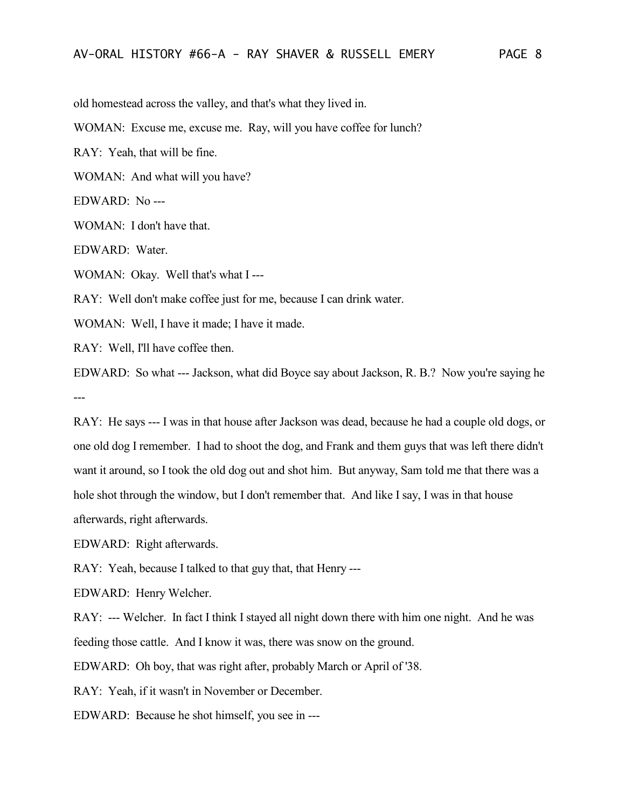old homestead across the valley, and that's what they lived in.

WOMAN: Excuse me, excuse me. Ray, will you have coffee for lunch?

RAY: Yeah, that will be fine.

WOMAN: And what will you have?

EDWARD: No ---

WOMAN: I don't have that.

EDWARD: Water.

WOMAN: Okay. Well that's what I ---

RAY: Well don't make coffee just for me, because I can drink water.

WOMAN: Well, I have it made; I have it made.

RAY: Well, I'll have coffee then.

EDWARD: So what --- Jackson, what did Boyce say about Jackson, R. B.? Now you're saying he ---

RAY: He says --- I was in that house after Jackson was dead, because he had a couple old dogs, or one old dog I remember. I had to shoot the dog, and Frank and them guys that was left there didn't want it around, so I took the old dog out and shot him. But anyway, Sam told me that there was a hole shot through the window, but I don't remember that. And like I say, I was in that house afterwards, right afterwards.

EDWARD: Right afterwards.

RAY: Yeah, because I talked to that guy that, that Henry ---

EDWARD: Henry Welcher.

RAY: --- Welcher. In fact I think I stayed all night down there with him one night. And he was feeding those cattle. And I know it was, there was snow on the ground.

EDWARD: Oh boy, that was right after, probably March or April of '38.

RAY: Yeah, if it wasn't in November or December.

EDWARD: Because he shot himself, you see in ---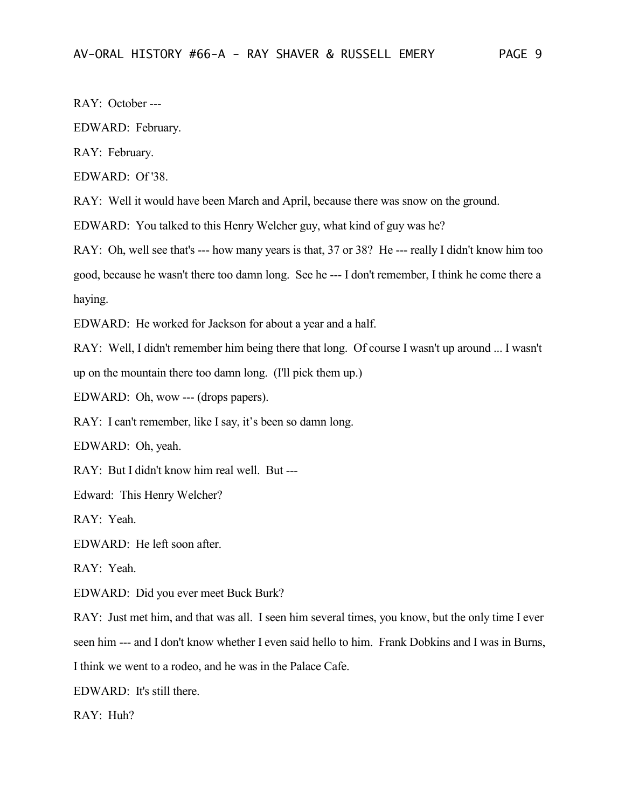RAY: October ---

EDWARD: February.

RAY: February.

EDWARD: Of '38.

RAY: Well it would have been March and April, because there was snow on the ground.

EDWARD: You talked to this Henry Welcher guy, what kind of guy was he?

RAY: Oh, well see that's --- how many years is that, 37 or 38? He --- really I didn't know him too good, because he wasn't there too damn long. See he --- I don't remember, I think he come there a haying.

EDWARD: He worked for Jackson for about a year and a half.

RAY: Well, I didn't remember him being there that long. Of course I wasn't up around ... I wasn't up on the mountain there too damn long. (I'll pick them up.)

EDWARD: Oh, wow --- (drops papers).

RAY: I can't remember, like I say, it's been so damn long.

EDWARD: Oh, yeah.

RAY: But I didn't know him real well. But ---

Edward: This Henry Welcher?

RAY: Yeah.

EDWARD: He left soon after.

RAY: Yeah.

EDWARD: Did you ever meet Buck Burk?

RAY: Just met him, and that was all. I seen him several times, you know, but the only time I ever seen him --- and I don't know whether I even said hello to him. Frank Dobkins and I was in Burns, I think we went to a rodeo, and he was in the Palace Cafe.

EDWARD: It's still there.

RAY: Huh?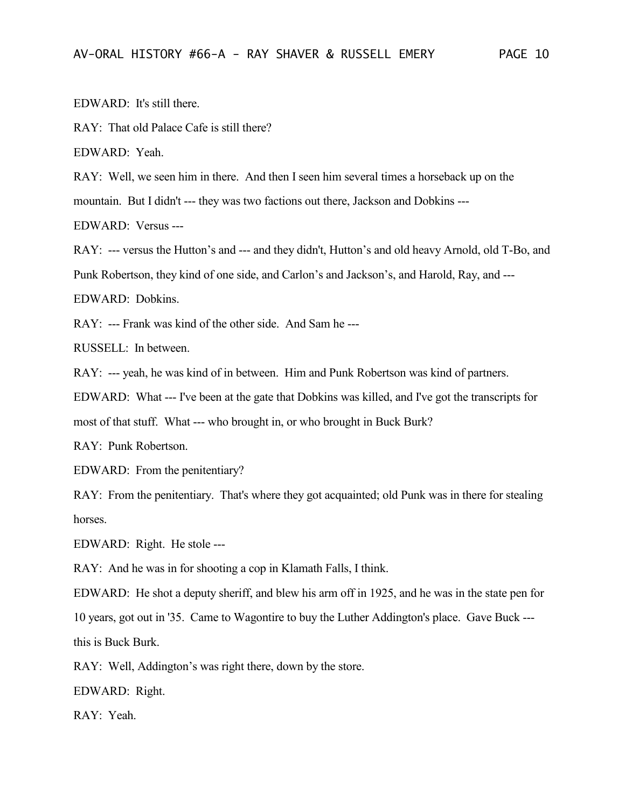EDWARD: It's still there.

RAY: That old Palace Cafe is still there?

EDWARD: Yeah.

RAY: Well, we seen him in there. And then I seen him several times a horseback up on the

mountain. But I didn't --- they was two factions out there, Jackson and Dobkins ---

EDWARD: Versus ---

RAY: --- versus the Hutton's and --- and they didn't, Hutton's and old heavy Arnold, old T-Bo, and Punk Robertson, they kind of one side, and Carlon's and Jackson's, and Harold, Ray, and ---

EDWARD: Dobkins.

RAY: --- Frank was kind of the other side. And Sam he ---

RUSSELL: In between.

RAY: --- yeah, he was kind of in between. Him and Punk Robertson was kind of partners.

EDWARD: What --- I've been at the gate that Dobkins was killed, and I've got the transcripts for most of that stuff. What --- who brought in, or who brought in Buck Burk?

RAY: Punk Robertson.

EDWARD: From the penitentiary?

RAY: From the penitentiary. That's where they got acquainted; old Punk was in there for stealing horses.

EDWARD: Right. He stole ---

RAY: And he was in for shooting a cop in Klamath Falls, I think.

EDWARD: He shot a deputy sheriff, and blew his arm off in 1925, and he was in the state pen for 10 years, got out in '35. Came to Wagontire to buy the Luther Addington's place. Gave Buck -- this is Buck Burk.

RAY: Well, Addington's was right there, down by the store.

EDWARD: Right.

RAY: Yeah.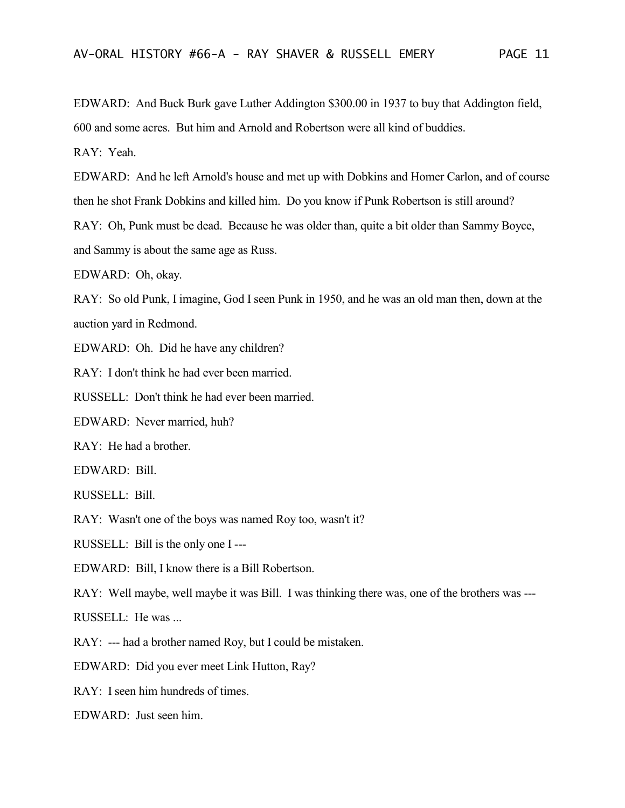EDWARD: And Buck Burk gave Luther Addington \$300.00 in 1937 to buy that Addington field, 600 and some acres. But him and Arnold and Robertson were all kind of buddies.

RAY: Yeah.

EDWARD: And he left Arnold's house and met up with Dobkins and Homer Carlon, and of course then he shot Frank Dobkins and killed him. Do you know if Punk Robertson is still around?

RAY: Oh, Punk must be dead. Because he was older than, quite a bit older than Sammy Boyce, and Sammy is about the same age as Russ.

EDWARD: Oh, okay.

RAY: So old Punk, I imagine, God I seen Punk in 1950, and he was an old man then, down at the auction yard in Redmond.

EDWARD: Oh. Did he have any children?

RAY: I don't think he had ever been married.

RUSSELL: Don't think he had ever been married.

EDWARD: Never married, huh?

RAY: He had a brother.

EDWARD: Bill.

RUSSELL: Bill.

RAY: Wasn't one of the boys was named Roy too, wasn't it?

RUSSELL: Bill is the only one I ---

EDWARD: Bill, I know there is a Bill Robertson.

RAY: Well maybe, well maybe it was Bill. I was thinking there was, one of the brothers was ---

RUSSELL: He was ...

RAY: --- had a brother named Roy, but I could be mistaken.

EDWARD: Did you ever meet Link Hutton, Ray?

RAY: I seen him hundreds of times.

EDWARD: Just seen him.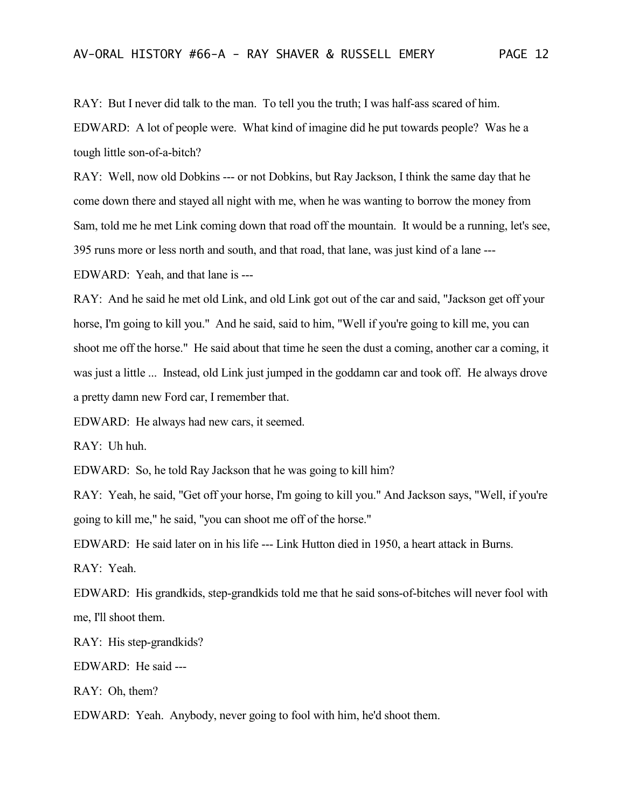RAY: But I never did talk to the man. To tell you the truth; I was half-ass scared of him.

EDWARD: A lot of people were. What kind of imagine did he put towards people? Was he a tough little son-of-a-bitch?

RAY: Well, now old Dobkins --- or not Dobkins, but Ray Jackson, I think the same day that he come down there and stayed all night with me, when he was wanting to borrow the money from Sam, told me he met Link coming down that road off the mountain. It would be a running, let's see, 395 runs more or less north and south, and that road, that lane, was just kind of a lane ---

EDWARD: Yeah, and that lane is ---

RAY: And he said he met old Link, and old Link got out of the car and said, "Jackson get off your horse, I'm going to kill you." And he said, said to him, "Well if you're going to kill me, you can shoot me off the horse." He said about that time he seen the dust a coming, another car a coming, it was just a little ... Instead, old Link just jumped in the goddamn car and took off. He always drove a pretty damn new Ford car, I remember that.

EDWARD: He always had new cars, it seemed.

RAY: Uh huh.

EDWARD: So, he told Ray Jackson that he was going to kill him?

RAY: Yeah, he said, "Get off your horse, I'm going to kill you." And Jackson says, "Well, if you're going to kill me," he said, "you can shoot me off of the horse."

EDWARD: He said later on in his life --- Link Hutton died in 1950, a heart attack in Burns.

RAY: Yeah.

EDWARD: His grandkids, step-grandkids told me that he said sons-of-bitches will never fool with me, I'll shoot them.

RAY: His step-grandkids?

EDWARD: He said ---

RAY: Oh, them?

EDWARD: Yeah. Anybody, never going to fool with him, he'd shoot them.